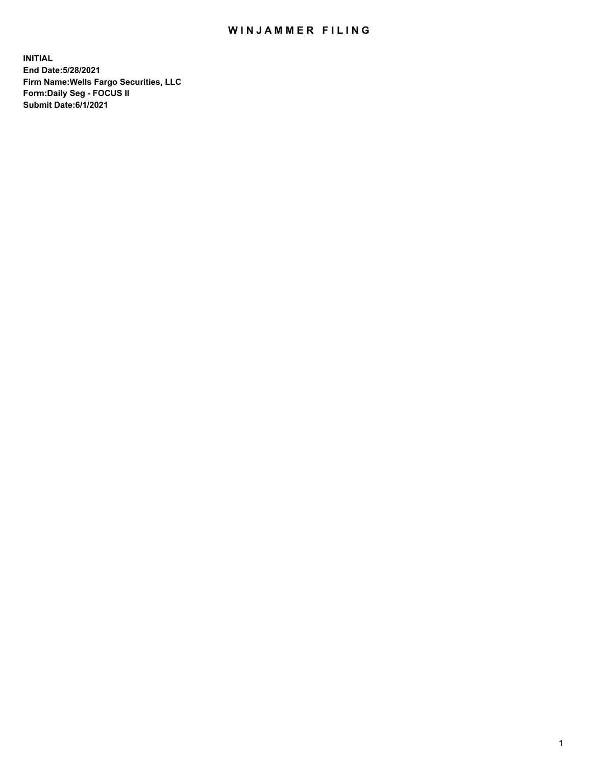## WIN JAMMER FILING

**INITIAL End Date:5/28/2021 Firm Name:Wells Fargo Securities, LLC Form:Daily Seg - FOCUS II Submit Date:6/1/2021**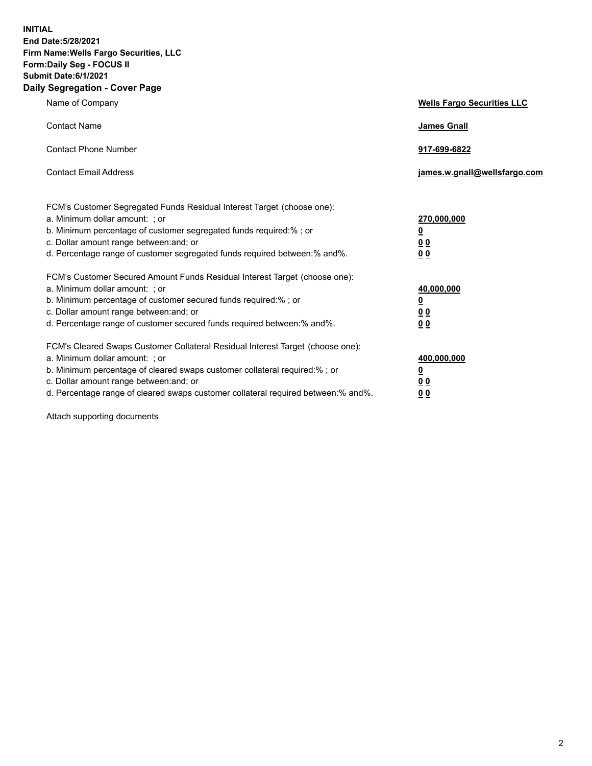**INITIAL End Date:5/28/2021 Firm Name:Wells Fargo Securities, LLC Form:Daily Seg - FOCUS II Submit Date:6/1/2021 Daily Segregation - Cover Page**

| Name of Company                                                                                                                                                                                                                                                                                                                | <b>Wells Fargo Securities LLC</b>                              |
|--------------------------------------------------------------------------------------------------------------------------------------------------------------------------------------------------------------------------------------------------------------------------------------------------------------------------------|----------------------------------------------------------------|
| <b>Contact Name</b>                                                                                                                                                                                                                                                                                                            | <b>James Gnall</b>                                             |
| <b>Contact Phone Number</b>                                                                                                                                                                                                                                                                                                    | 917-699-6822                                                   |
| <b>Contact Email Address</b>                                                                                                                                                                                                                                                                                                   | james.w.gnall@wellsfargo.com                                   |
| FCM's Customer Segregated Funds Residual Interest Target (choose one):<br>a. Minimum dollar amount: ; or<br>b. Minimum percentage of customer segregated funds required:% ; or<br>c. Dollar amount range between: and; or<br>d. Percentage range of customer segregated funds required between:% and%.                         | 270,000,000<br>$\overline{\mathbf{0}}$<br>0 <sub>0</sub><br>00 |
| FCM's Customer Secured Amount Funds Residual Interest Target (choose one):<br>a. Minimum dollar amount: ; or<br>b. Minimum percentage of customer secured funds required:% ; or<br>c. Dollar amount range between: and; or<br>d. Percentage range of customer secured funds required between:% and%.                           | 40,000,000<br><u>0</u><br>00<br>0 <sub>0</sub>                 |
| FCM's Cleared Swaps Customer Collateral Residual Interest Target (choose one):<br>a. Minimum dollar amount: ; or<br>b. Minimum percentage of cleared swaps customer collateral required:% ; or<br>c. Dollar amount range between: and; or<br>d. Percentage range of cleared swaps customer collateral required between:% and%. | 400,000,000<br><u>0</u><br>0 <sub>0</sub><br>00                |

Attach supporting documents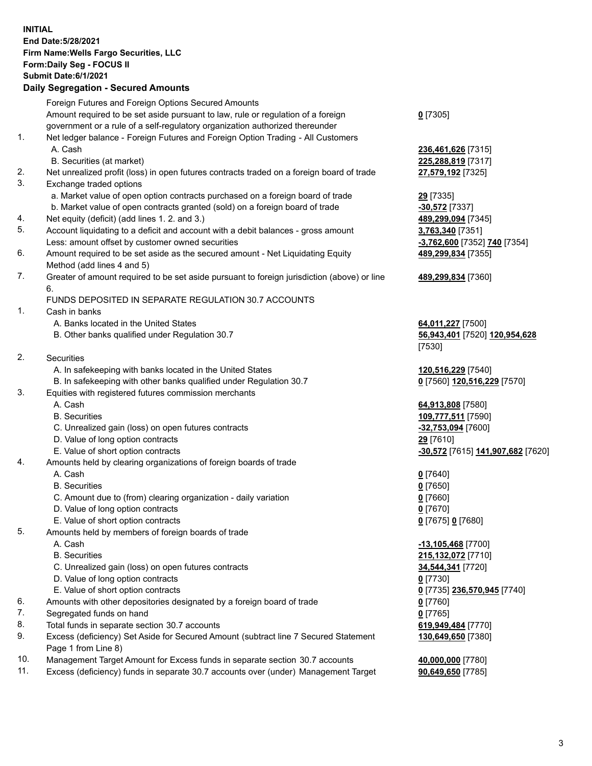**INITIAL End Date:5/28/2021 Firm Name:Wells Fargo Securities, LLC Form:Daily Seg - FOCUS II Submit Date:6/1/2021 Daily Segregation - Secured Amounts** Foreign Futures and Foreign Options Secured Amounts Amount required to be set aside pursuant to law, rule or regulation of a foreign government or a rule of a self-regulatory organization authorized thereunder **0** [7305] 1. Net ledger balance - Foreign Futures and Foreign Option Trading - All Customers A. Cash **236,461,626** [7315] B. Securities (at market) **225,288,819** [7317] 2. Net unrealized profit (loss) in open futures contracts traded on a foreign board of trade **27,579,192** [7325] 3. Exchange traded options a. Market value of open option contracts purchased on a foreign board of trade **29** [7335] b. Market value of open contracts granted (sold) on a foreign board of trade **-30,572** [7337] 4. Net equity (deficit) (add lines 1. 2. and 3.) **489,299,094** [7345] 5. Account liquidating to a deficit and account with a debit balances - gross amount **3,763,340** [7351] Less: amount offset by customer owned securities **-3,762,600** [7352] **740** [7354] 6. Amount required to be set aside as the secured amount - Net Liquidating Equity Method (add lines 4 and 5) **489,299,834** [7355] 7. Greater of amount required to be set aside pursuant to foreign jurisdiction (above) or line 6. **489,299,834** [7360] FUNDS DEPOSITED IN SEPARATE REGULATION 30.7 ACCOUNTS 1. Cash in banks A. Banks located in the United States **64,011,227** [7500] B. Other banks qualified under Regulation 30.7 **56,943,401** [7520] **120,954,628** [7530] 2. Securities A. In safekeeping with banks located in the United States **120,516,229** [7540] B. In safekeeping with other banks qualified under Regulation 30.7 **0** [7560] **120,516,229** [7570] 3. Equities with registered futures commission merchants A. Cash **64,913,808** [7580] B. Securities **109,777,511** [7590] C. Unrealized gain (loss) on open futures contracts **-32,753,094** [7600] D. Value of long option contracts **29** [7610] E. Value of short option contracts **-30,572** [7615] **141,907,682** [7620] 4. Amounts held by clearing organizations of foreign boards of trade A. Cash **0** [7640] B. Securities **0** [7650] C. Amount due to (from) clearing organization - daily variation **0** [7660] D. Value of long option contracts **0** [7670] E. Value of short option contracts **0** [7675] **0** [7680] 5. Amounts held by members of foreign boards of trade A. Cash **-13,105,468** [7700] B. Securities **215,132,072** [7710] C. Unrealized gain (loss) on open futures contracts **34,544,341** [7720] D. Value of long option contracts **0** [7730] E. Value of short option contracts **0** [7735] **236,570,945** [7740] 6. Amounts with other depositories designated by a foreign board of trade **0** [7760] 7. Segregated funds on hand **0** [7765] 8. Total funds in separate section 30.7 accounts **619,949,484** [7770] 9. Excess (deficiency) Set Aside for Secured Amount (subtract line 7 Secured Statement **130,649,650** [7380]

Page 1 from Line 8)

10. Management Target Amount for Excess funds in separate section 30.7 accounts **40,000,000** [7780] 11. Excess (deficiency) funds in separate 30.7 accounts over (under) Management Target **90,649,650** [7785]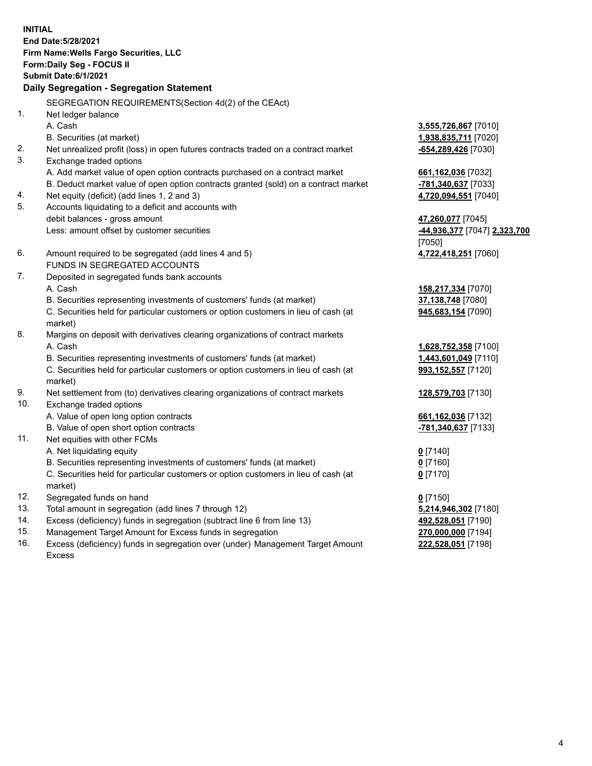**INITIAL End Date:5/28/2021 Firm Name:Wells Fargo Securities, LLC Form:Daily Seg - FOCUS II Submit Date:6/1/2021 Daily Segregation - Segregation Statement** SEGREGATION REQUIREMENTS(Section 4d(2) of the CEAct) 1. Net ledger balance A. Cash **3,555,726,867** [7010] B. Securities (at market) **1,938,835,711** [7020] 2. Net unrealized profit (loss) in open futures contracts traded on a contract market **-654,289,426** [7030] 3. Exchange traded options A. Add market value of open option contracts purchased on a contract market **661,162,036** [7032] B. Deduct market value of open option contracts granted (sold) on a contract market **-781,340,637** [7033] 4. Net equity (deficit) (add lines 1, 2 and 3) **4,720,094,551** [7040] 5. Accounts liquidating to a deficit and accounts with debit balances - gross amount **47,260,077** [7045] Less: amount offset by customer securities **-44,936,377** [7047] **2,323,700** [7050] 6. Amount required to be segregated (add lines 4 and 5) **4,722,418,251** [7060] FUNDS IN SEGREGATED ACCOUNTS 7. Deposited in segregated funds bank accounts A. Cash **158,217,334** [7070] B. Securities representing investments of customers' funds (at market) **37,138,748** [7080] C. Securities held for particular customers or option customers in lieu of cash (at market) **945,683,154** [7090] 8. Margins on deposit with derivatives clearing organizations of contract markets A. Cash **1,628,752,358** [7100] B. Securities representing investments of customers' funds (at market) **1,443,601,049** [7110] C. Securities held for particular customers or option customers in lieu of cash (at market) **993,152,557** [7120] 9. Net settlement from (to) derivatives clearing organizations of contract markets **128,579,703** [7130] 10. Exchange traded options A. Value of open long option contracts **661,162,036** [7132] B. Value of open short option contracts **-781,340,637** [7133] 11. Net equities with other FCMs A. Net liquidating equity **0** [7140] B. Securities representing investments of customers' funds (at market) **0** [7160] C. Securities held for particular customers or option customers in lieu of cash (at market) **0** [7170] 12. Segregated funds on hand **0** [7150] 13. Total amount in segregation (add lines 7 through 12) **5,214,946,302** [7180] 14. Excess (deficiency) funds in segregation (subtract line 6 from line 13) **492,528,051** [7190] 15. Management Target Amount for Excess funds in segregation **270,000,000** [7194] **222,528,051** [7198]

16. Excess (deficiency) funds in segregation over (under) Management Target Amount Excess